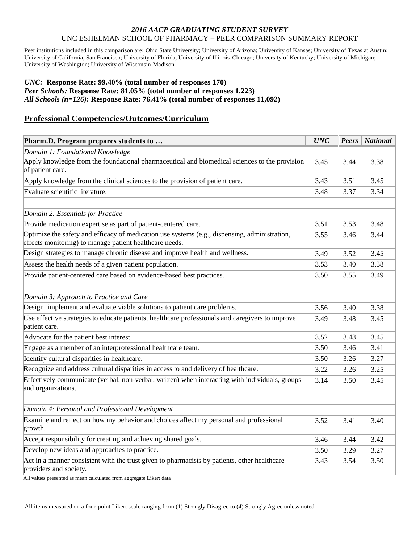#### *2016 AACP GRADUATING STUDENT SURVEY* UNC ESHELMAN SCHOOL OF PHARMACY – PEER COMPARISON SUMMARY REPORT

Peer institutions included in this comparison are: Ohio State University; University of Arizona; University of Kansas; University of Texas at Austin; University of California, San Francisco; University of Florida; University of Illinois-Chicago; University of Kentucky; University of Michigan; University of Washington; University of Wisconsin-Madison

### *UNC:* **Response Rate: 99.40% (total number of responses 170)** *Peer Schools:* **Response Rate: 81.05% (total number of responses 1,223)** *All Schools (n=126)***: Response Rate: 76.41% (total number of responses 11,092)**

## **Professional Competencies/Outcomes/Curriculum**

| Pharm.D. Program prepares students to                                                                                                                    | <b>UNC</b> | <b>Peers</b> | National |
|----------------------------------------------------------------------------------------------------------------------------------------------------------|------------|--------------|----------|
| Domain 1: Foundational Knowledge                                                                                                                         |            |              |          |
| Apply knowledge from the foundational pharmaceutical and biomedical sciences to the provision<br>of patient care.                                        |            | 3.44         | 3.38     |
| Apply knowledge from the clinical sciences to the provision of patient care.                                                                             | 3.43       | 3.51         | 3.45     |
| Evaluate scientific literature.                                                                                                                          | 3.48       | 3.37         | 3.34     |
| Domain 2: Essentials for Practice                                                                                                                        |            |              |          |
| Provide medication expertise as part of patient-centered care.                                                                                           | 3.51       | 3.53         | 3.48     |
| Optimize the safety and efficacy of medication use systems (e.g., dispensing, administration,<br>effects monitoring) to manage patient healthcare needs. | 3.55       | 3.46         | 3.44     |
| Design strategies to manage chronic disease and improve health and wellness.                                                                             | 3.49       | 3.52         | 3.45     |
| Assess the health needs of a given patient population.                                                                                                   | 3.53       | 3.40         | 3.38     |
| Provide patient-centered care based on evidence-based best practices.                                                                                    |            | 3.55         | 3.49     |
| Domain 3: Approach to Practice and Care                                                                                                                  |            |              |          |
| Design, implement and evaluate viable solutions to patient care problems.                                                                                |            | 3.40         | 3.38     |
| Use effective strategies to educate patients, healthcare professionals and caregivers to improve<br>patient care.                                        |            | 3.48         | 3.45     |
| Advocate for the patient best interest.                                                                                                                  | 3.52       | 3.48         | 3.45     |
| Engage as a member of an interprofessional healthcare team.                                                                                              | 3.50       | 3.46         | 3.41     |
| Identify cultural disparities in healthcare.                                                                                                             | 3.50       | 3.26         | 3.27     |
| Recognize and address cultural disparities in access to and delivery of healthcare.                                                                      | 3.22       | 3.26         | 3.25     |
| Effectively communicate (verbal, non-verbal, written) when interacting with individuals, groups<br>and organizations.                                    | 3.14       | 3.50         | 3.45     |
| Domain 4: Personal and Professional Development                                                                                                          |            |              |          |
| Examine and reflect on how my behavior and choices affect my personal and professional<br>growth.                                                        |            | 3.41         | 3.40     |
| Accept responsibility for creating and achieving shared goals.                                                                                           | 3.46       | 3.44         | 3.42     |
| Develop new ideas and approaches to practice.                                                                                                            | 3.50       | 3.29         | 3.27     |
| Act in a manner consistent with the trust given to pharmacists by patients, other healthcare<br>providers and society.                                   |            | 3.54         | 3.50     |

All values presented as mean calculated from aggregate Likert data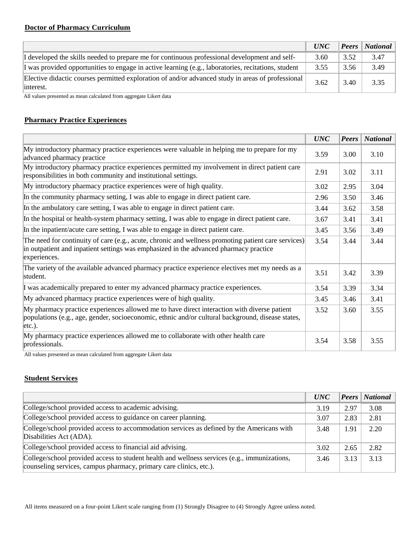# **Doctor of Pharmacy Curriculum**

|                                                                                                                | <i>UNC</i> |      | <b>Peers</b>   National |
|----------------------------------------------------------------------------------------------------------------|------------|------|-------------------------|
| I developed the skills needed to prepare me for continuous professional development and self-                  | 3.60       | 3.52 | 3.47                    |
| I was provided opportunities to engage in active learning (e.g., laboratories, recitations, student            | 3.55       | 3.56 | 3.49                    |
| Elective didactic courses permitted exploration of and/or advanced study in areas of professional<br>interest. | 3.62       | 3.40 | 3.35                    |

All values presented as mean calculated from aggregate Likert data

### **Pharmacy Practice Experiences**

|                                                                                                                                                                                                              | <b>UNC</b> | <b>Peers</b> | <b>National</b> |
|--------------------------------------------------------------------------------------------------------------------------------------------------------------------------------------------------------------|------------|--------------|-----------------|
| My introductory pharmacy practice experiences were valuable in helping me to prepare for my<br>advanced pharmacy practice                                                                                    | 3.59       | 3.00         | 3.10            |
| My introductory pharmacy practice experiences permitted my involvement in direct patient care<br>responsibilities in both community and institutional settings.                                              | 2.91       | 3.02         | 3.11            |
| My introductory pharmacy practice experiences were of high quality.                                                                                                                                          | 3.02       | 2.95         | 3.04            |
| In the community pharmacy setting, I was able to engage in direct patient care.                                                                                                                              | 2.96       | 3.50         | 3.46            |
| In the ambulatory care setting, I was able to engage in direct patient care.                                                                                                                                 | 3.44       | 3.62         | 3.58            |
| In the hospital or health-system pharmacy setting, I was able to engage in direct patient care.                                                                                                              | 3.67       | 3.41         | 3.41            |
| In the inpatient/acute care setting, I was able to engage in direct patient care.                                                                                                                            |            | 3.56         | 3.49            |
| The need for continuity of care (e.g., acute, chronic and wellness promoting patient care services)<br>in outpatient and inpatient settings was emphasized in the advanced pharmacy practice<br>experiences. |            | 3.44         | 3.44            |
| The variety of the available advanced pharmacy practice experience electives met my needs as a<br>student.                                                                                                   |            | 3.42         | 3.39            |
| I was academically prepared to enter my advanced pharmacy practice experiences.                                                                                                                              |            | 3.39         | 3.34            |
| My advanced pharmacy practice experiences were of high quality.                                                                                                                                              |            | 3.46         | 3.41            |
| My pharmacy practice experiences allowed me to have direct interaction with diverse patient<br>populations (e.g., age, gender, socioeconomic, ethnic and/or cultural background, disease states,<br>etc.).   |            | 3.60         | 3.55            |
| My pharmacy practice experiences allowed me to collaborate with other health care<br>professionals.                                                                                                          | 3.54       | 3.58         | 3.55            |

All values presented as mean calculated from aggregate Likert data

## **Student Services**

|                                                                                                                                                                    | <b>UNC</b> |      | <b>Peers</b> National |
|--------------------------------------------------------------------------------------------------------------------------------------------------------------------|------------|------|-----------------------|
| College/school provided access to academic advising.                                                                                                               | 3.19       | 2.97 | 3.08                  |
| College/school provided access to guidance on career planning.                                                                                                     |            | 2.83 | 2.81                  |
| College/school provided access to accommodation services as defined by the Americans with<br>Disabilities Act (ADA).                                               | 3.48       | 1.91 | 2.20                  |
| College/school provided access to financial aid advising.                                                                                                          |            | 2.65 | 2.82                  |
| College/school provided access to student health and wellness services (e.g., immunizations,<br>counseling services, campus pharmacy, primary care clinics, etc.). | 3.46       | 3.13 | 3.13                  |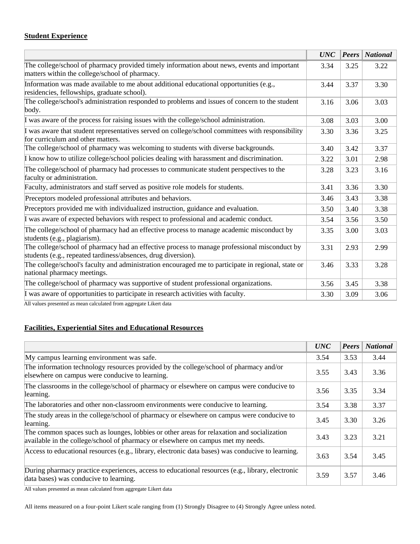# **Student Experience**

|                                                                                                                                                               | <b>UNC</b> |      | <b>Peers</b>   National |
|---------------------------------------------------------------------------------------------------------------------------------------------------------------|------------|------|-------------------------|
| The college/school of pharmacy provided timely information about news, events and important<br>matters within the college/school of pharmacy.                 | 3.34       | 3.25 | 3.22                    |
| Information was made available to me about additional educational opportunities (e.g.,<br>residencies, fellowships, graduate school).                         | 3.44       | 3.37 | 3.30                    |
| The college/school's administration responded to problems and issues of concern to the student<br>body.                                                       | 3.16       | 3.06 | 3.03                    |
| I was aware of the process for raising issues with the college/school administration.                                                                         | 3.08       | 3.03 | 3.00                    |
| I was aware that student representatives served on college/school committees with responsibility<br>for curriculum and other matters.                         | 3.30       | 3.36 | 3.25                    |
| The college/school of pharmacy was welcoming to students with diverse backgrounds.                                                                            | 3.40       | 3.42 | 3.37                    |
| I know how to utilize college/school policies dealing with harassment and discrimination.                                                                     |            | 3.01 | 2.98                    |
| The college/school of pharmacy had processes to communicate student perspectives to the<br>faculty or administration.                                         |            | 3.23 | 3.16                    |
| Faculty, administrators and staff served as positive role models for students.                                                                                |            | 3.36 | 3.30                    |
| Preceptors modeled professional attributes and behaviors.                                                                                                     |            | 3.43 | 3.38                    |
| Preceptors provided me with individualized instruction, guidance and evaluation.                                                                              |            | 3.40 | 3.38                    |
| I was aware of expected behaviors with respect to professional and academic conduct.                                                                          | 3.54       | 3.56 | 3.50                    |
| The college/school of pharmacy had an effective process to manage academic misconduct by<br>students (e.g., plagiarism).                                      |            | 3.00 | 3.03                    |
| The college/school of pharmacy had an effective process to manage professional misconduct by<br>students (e.g., repeated tardiness/absences, drug diversion). |            | 2.93 | 2.99                    |
| The college/school's faculty and administration encouraged me to participate in regional, state or<br>national pharmacy meetings.                             |            | 3.33 | 3.28                    |
| The college/school of pharmacy was supportive of student professional organizations.                                                                          | 3.56       | 3.45 | 3.38                    |
| I was aware of opportunities to participate in research activities with faculty.                                                                              | 3.30       | 3.09 | 3.06                    |
|                                                                                                                                                               |            |      |                         |

All values presented as mean calculated from aggregate Likert data

# **Facilities, Experiential Sites and Educational Resources**

|                                                                                                                                                                                | <b>UNC</b> | <b>Peers</b> | <b>National</b> |
|--------------------------------------------------------------------------------------------------------------------------------------------------------------------------------|------------|--------------|-----------------|
| My campus learning environment was safe.                                                                                                                                       | 3.54       | 3.53         | 3.44            |
| The information technology resources provided by the college/school of pharmacy and/or<br>elsewhere on campus were conducive to learning.                                      | 3.55       | 3.43         | 3.36            |
| The classrooms in the college/school of pharmacy or elsewhere on campus were conducive to<br>learning.                                                                         | 3.56       | 3.35         | 3.34            |
| The laboratories and other non-classroom environments were conducive to learning.                                                                                              | 3.54       | 3.38         | 3.37            |
| The study areas in the college/school of pharmacy or elsewhere on campus were conducive to<br>learning.                                                                        | 3.45       | 3.30         | 3.26            |
| The common spaces such as lounges, lobbies or other areas for relaxation and socialization<br>available in the college/school of pharmacy or elsewhere on campus met my needs. | 3.43       | 3.23         | 3.21            |
| Access to educational resources (e.g., library, electronic data bases) was conducive to learning.                                                                              | 3.63       | 3.54         | 3.45            |
| During pharmacy practice experiences, access to educational resources (e.g., library, electronic<br>data bases) was conducive to learning.                                     | 3.59       | 3.57         | 3.46            |

All values presented as mean calculated from aggregate Likert data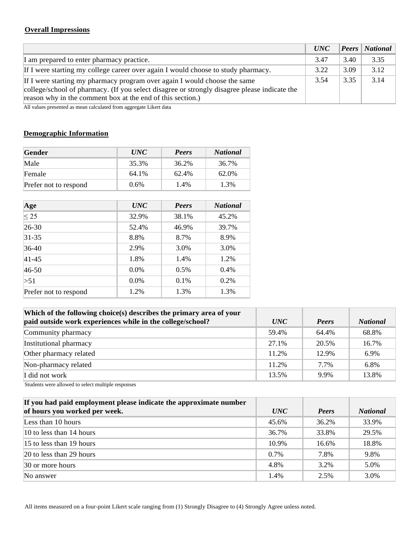# **Overall Impressions**

|                                                                                                                                                                                                                                         | <i>UNC</i> |      | <b>Peers</b> National |
|-----------------------------------------------------------------------------------------------------------------------------------------------------------------------------------------------------------------------------------------|------------|------|-----------------------|
| I am prepared to enter pharmacy practice.                                                                                                                                                                                               | 3.47       | 3.40 | 3.35                  |
| If I were starting my college career over again I would choose to study pharmacy.                                                                                                                                                       | 3.22       | 3.09 | 3.12                  |
| If I were starting my pharmacy program over again I would choose the same<br>college/school of pharmacy. (If you select disagree or strongly disagree please indicate the<br>reason why in the comment box at the end of this section.) | 3.54       | 3.35 | 3.14                  |

All values presented as mean calculated from aggregate Likert data

# **Demographic Information**

| Gender                | <i>UNC</i> | <b>Peers</b> | <b>National</b> |
|-----------------------|------------|--------------|-----------------|
| Male                  | 35.3%      | 36.2%        | 36.7%           |
| Female                | 64.1%      | 62.4%        | 62.0%           |
| Prefer not to respond | $0.6\%$    | 1.4%         | 1.3%            |

| Age                   | <b>UNC</b> | Peers   | <b>National</b> |
|-----------------------|------------|---------|-----------------|
| $\leq$ 25             | 32.9%      | 38.1%   | 45.2%           |
| 26-30                 | 52.4%      | 46.9%   | 39.7%           |
| 31-35                 | 8.8%       | 8.7%    | 8.9%            |
| 36-40                 | 2.9%       | 3.0%    | 3.0%            |
| $ 41 - 45 $           | 1.8%       | 1.4%    | 1.2%            |
| 46-50                 | $0.0\%$    | 0.5%    | 0.4%            |
| >51                   | $0.0\%$    | $0.1\%$ | 0.2%            |
| Prefer not to respond | 1.2%       | 1.3%    | 1.3%            |

| Which of the following choice(s) describes the primary area of your<br>paid outside work experiences while in the college/school? | <i>UNC</i> | Peers | <b>National</b> |
|-----------------------------------------------------------------------------------------------------------------------------------|------------|-------|-----------------|
| Community pharmacy                                                                                                                | 59.4%      | 64.4% | 68.8%           |
| Institutional pharmacy                                                                                                            | 27.1%      | 20.5% | 16.7%           |
| Other pharmacy related                                                                                                            | 11.2%      | 12.9% | 6.9%            |
| Non-pharmacy related                                                                                                              | 11.2%      | 7.7%  | 6.8%            |
| I did not work                                                                                                                    | 13.5%      | 9.9%  | 13.8%           |

Students were allowed to select multiple responses

| If you had paid employment please indicate the approximate number |            |       |                 |
|-------------------------------------------------------------------|------------|-------|-----------------|
| of hours you worked per week.                                     | <i>UNC</i> | Peers | <b>National</b> |
| Less than 10 hours                                                | 45.6%      | 36.2% | 33.9%           |
| $10$ to less than 14 hours                                        | 36.7%      | 33.8% | 29.5%           |
| $15$ to less than 19 hours                                        | 10.9%      | 16.6% | 18.8%           |
| $\sqrt{20}$ to less than 29 hours                                 | $0.7\%$    | 7.8%  | 9.8%            |
| $ 30 \text{ or more hours} $                                      | 4.8%       | 3.2%  | 5.0%            |
| No answer                                                         | 1.4%       | 2.5%  | 3.0%            |